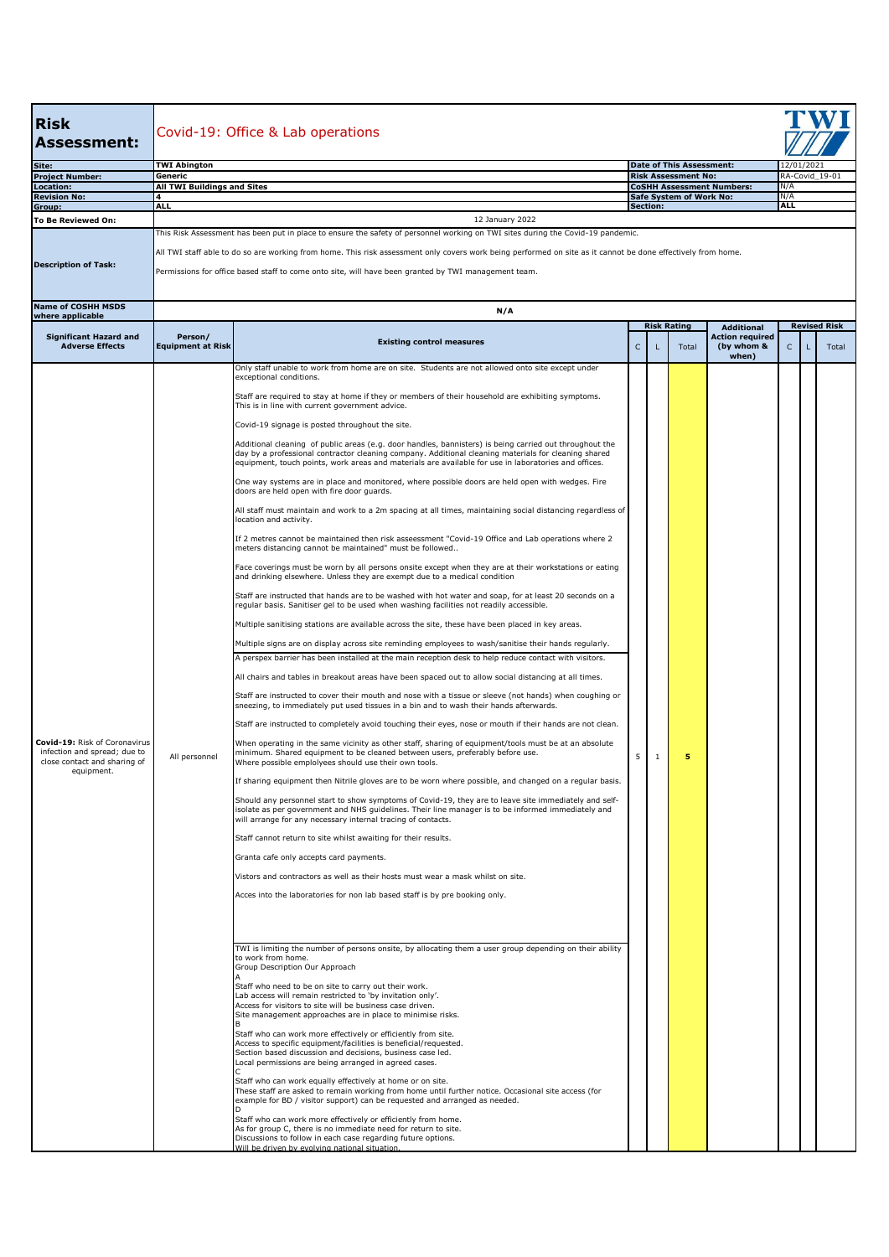| <b>Risk</b><br>Assessment:                                                                    | Covid-19: Office & Lab operations                                                                                                                            |                                                                                                                                                                                                                                                                                                                         |              |                 |                                                               |                                                                    |                              |   |       |  |  |  |  |  |
|-----------------------------------------------------------------------------------------------|--------------------------------------------------------------------------------------------------------------------------------------------------------------|-------------------------------------------------------------------------------------------------------------------------------------------------------------------------------------------------------------------------------------------------------------------------------------------------------------------------|--------------|-----------------|---------------------------------------------------------------|--------------------------------------------------------------------|------------------------------|---|-------|--|--|--|--|--|
| Site:                                                                                         | <b>TWI Abington</b><br>Generic                                                                                                                               |                                                                                                                                                                                                                                                                                                                         |              |                 | <b>Date of This Assessment:</b><br><b>Risk Assessment No:</b> |                                                                    | 12/01/2021<br>RA-Covid 19-01 |   |       |  |  |  |  |  |
| <b>Project Number:</b><br>Location:                                                           | <b>All TWI Buildings and Sites</b>                                                                                                                           |                                                                                                                                                                                                                                                                                                                         |              |                 |                                                               | <b>CoSHH Assessment Numbers:</b>                                   | N/A                          |   |       |  |  |  |  |  |
| <b>Revision No:</b><br>Group:                                                                 | 4<br><b>ALL</b>                                                                                                                                              |                                                                                                                                                                                                                                                                                                                         |              | <b>Section:</b> | Safe System of Work No:                                       |                                                                    | N/A<br><b>ALL</b>            |   |       |  |  |  |  |  |
| To Be Reviewed On:                                                                            |                                                                                                                                                              | 12 January 2022                                                                                                                                                                                                                                                                                                         |              |                 |                                                               |                                                                    |                              |   |       |  |  |  |  |  |
|                                                                                               | This Risk Assessment has been put in place to ensure the safety of personnel working on TWI sites during the Covid-19 pandemic.                              |                                                                                                                                                                                                                                                                                                                         |              |                 |                                                               |                                                                    |                              |   |       |  |  |  |  |  |
|                                                                                               | All TWI staff able to do so are working from home. This risk assessment only covers work being performed on site as it cannot be done effectively from home. |                                                                                                                                                                                                                                                                                                                         |              |                 |                                                               |                                                                    |                              |   |       |  |  |  |  |  |
| <b>Description of Task:</b>                                                                   | Permissions for office based staff to come onto site, will have been granted by TWI management team.                                                         |                                                                                                                                                                                                                                                                                                                         |              |                 |                                                               |                                                                    |                              |   |       |  |  |  |  |  |
| <b>Name of COSHH MSDS</b><br>where applicable                                                 | N/A<br><b>Risk Rating</b><br><b>Revised Risk</b>                                                                                                             |                                                                                                                                                                                                                                                                                                                         |              |                 |                                                               |                                                                    |                              |   |       |  |  |  |  |  |
| <b>Significant Hazard and</b><br><b>Adverse Effects</b>                                       | Person/<br><b>Equipment at Risk</b>                                                                                                                          | <b>Existing control measures</b>                                                                                                                                                                                                                                                                                        | $\mathsf{C}$ |                 | Total                                                         | <b>Additional</b><br><b>Action required</b><br>(by whom &<br>when) | $\mathsf{C}$                 | п | Total |  |  |  |  |  |
|                                                                                               |                                                                                                                                                              | Only staff unable to work from home are on site. Students are not allowed onto site except under<br>exceptional conditions.                                                                                                                                                                                             |              |                 |                                                               |                                                                    |                              |   |       |  |  |  |  |  |
|                                                                                               |                                                                                                                                                              | Staff are required to stay at home if they or members of their household are exhibiting symptoms.<br>This is in line with current government advice.                                                                                                                                                                    |              |                 |                                                               |                                                                    |                              |   |       |  |  |  |  |  |
|                                                                                               |                                                                                                                                                              | Covid-19 signage is posted throughout the site.                                                                                                                                                                                                                                                                         |              |                 |                                                               |                                                                    |                              |   |       |  |  |  |  |  |
|                                                                                               |                                                                                                                                                              | Additional cleaning of public areas (e.g. door handles, bannisters) is being carried out throughout the<br>day by a professional contractor cleaning company. Additional cleaning materials for cleaning shared<br>equipment, touch points, work areas and materials are available for use in laboratories and offices. |              |                 |                                                               |                                                                    |                              |   |       |  |  |  |  |  |
|                                                                                               |                                                                                                                                                              | One way systems are in place and monitored, where possible doors are held open with wedges. Fire<br>doors are held open with fire door quards.                                                                                                                                                                          |              |                 |                                                               |                                                                    |                              |   |       |  |  |  |  |  |
|                                                                                               |                                                                                                                                                              | All staff must maintain and work to a 2m spacing at all times, maintaining social distancing regardless of<br>location and activity.                                                                                                                                                                                    |              |                 |                                                               |                                                                    |                              |   |       |  |  |  |  |  |
|                                                                                               |                                                                                                                                                              | If 2 metres cannot be maintained then risk asseessment "Covid-19 Office and Lab operations where 2<br>meters distancing cannot be maintained" must be followed                                                                                                                                                          |              |                 |                                                               |                                                                    |                              |   |       |  |  |  |  |  |
|                                                                                               |                                                                                                                                                              | Face coverings must be worn by all persons onsite except when they are at their workstations or eating<br>and drinking elsewhere. Unless they are exempt due to a medical condition                                                                                                                                     |              |                 |                                                               |                                                                    |                              |   |       |  |  |  |  |  |
|                                                                                               |                                                                                                                                                              | Staff are instructed that hands are to be washed with hot water and soap, for at least 20 seconds on a<br>regular basis. Sanitiser gel to be used when washing facilities not readily accessible.<br>Multiple sanitising stations are available across the site, these have been placed in key areas.                   |              |                 |                                                               |                                                                    |                              |   |       |  |  |  |  |  |
|                                                                                               |                                                                                                                                                              | Multiple signs are on display across site reminding employees to wash/sanitise their hands regularly.                                                                                                                                                                                                                   |              |                 |                                                               |                                                                    |                              |   |       |  |  |  |  |  |
|                                                                                               |                                                                                                                                                              | A perspex barrier has been installed at the main reception desk to help reduce contact with visitors.                                                                                                                                                                                                                   |              |                 |                                                               |                                                                    |                              |   |       |  |  |  |  |  |
|                                                                                               |                                                                                                                                                              | All chairs and tables in breakout areas have been spaced out to allow social distancing at all times.                                                                                                                                                                                                                   |              |                 |                                                               |                                                                    |                              |   |       |  |  |  |  |  |
|                                                                                               | All personnel                                                                                                                                                | Staff are instructed to cover their mouth and nose with a tissue or sleeve (not hands) when coughing or<br>sneezing, to immediately put used tissues in a bin and to wash their hands afterwards.                                                                                                                       |              |                 |                                                               |                                                                    |                              |   |       |  |  |  |  |  |
|                                                                                               |                                                                                                                                                              | Staff are instructed to completely avoid touching their eyes, nose or mouth if their hands are not clean.                                                                                                                                                                                                               |              |                 |                                                               |                                                                    |                              |   |       |  |  |  |  |  |
| Covid-19: Risk of Coronavirus<br>infection and spread; due to<br>close contact and sharing of |                                                                                                                                                              | When operating in the same vicinity as other staff, sharing of equipment/tools must be at an absolute<br>minimum. Shared equipment to be cleaned between users, preferably before use.<br>Where possible emplolyees should use their own tools.                                                                         | 5            | $\mathbf{1}$    | 5                                                             |                                                                    |                              |   |       |  |  |  |  |  |
| equipment.                                                                                    |                                                                                                                                                              | If sharing equipment then Nitrile gloves are to be worn where possible, and changed on a regular basis.                                                                                                                                                                                                                 |              |                 |                                                               |                                                                    |                              |   |       |  |  |  |  |  |
|                                                                                               |                                                                                                                                                              | Should any personnel start to show symptoms of Covid-19, they are to leave site immediately and self-<br>isolate as per government and NHS guidelines. Their line manager is to be informed immediately and<br>will arrange for any necessary internal tracing of contacts.                                             |              |                 |                                                               |                                                                    |                              |   |       |  |  |  |  |  |
|                                                                                               |                                                                                                                                                              | Staff cannot return to site whilst awaiting for their results.                                                                                                                                                                                                                                                          |              |                 |                                                               |                                                                    |                              |   |       |  |  |  |  |  |
|                                                                                               |                                                                                                                                                              | Granta cafe only accepts card payments.                                                                                                                                                                                                                                                                                 |              |                 |                                                               |                                                                    |                              |   |       |  |  |  |  |  |
|                                                                                               |                                                                                                                                                              | Vistors and contractors as well as their hosts must wear a mask whilst on site.                                                                                                                                                                                                                                         |              |                 |                                                               |                                                                    |                              |   |       |  |  |  |  |  |
|                                                                                               |                                                                                                                                                              | Acces into the laboratories for non lab based staff is by pre booking only.                                                                                                                                                                                                                                             |              |                 |                                                               |                                                                    |                              |   |       |  |  |  |  |  |
|                                                                                               |                                                                                                                                                              |                                                                                                                                                                                                                                                                                                                         |              |                 |                                                               |                                                                    |                              |   |       |  |  |  |  |  |
|                                                                                               |                                                                                                                                                              | TWI is limiting the number of persons onsite, by allocating them a user group depending on their ability<br>to work from home.                                                                                                                                                                                          |              |                 |                                                               |                                                                    |                              |   |       |  |  |  |  |  |
|                                                                                               |                                                                                                                                                              | Group Description Our Approach                                                                                                                                                                                                                                                                                          |              |                 |                                                               |                                                                    |                              |   |       |  |  |  |  |  |
|                                                                                               |                                                                                                                                                              | Staff who need to be on site to carry out their work.<br>Lab access will remain restricted to 'by invitation only'.<br>Access for visitors to site will be business case driven.                                                                                                                                        |              |                 |                                                               |                                                                    |                              |   |       |  |  |  |  |  |
|                                                                                               |                                                                                                                                                              | Site management approaches are in place to minimise risks.<br>Staff who can work more effectively or efficiently from site.<br>Access to specific equipment/facilities is beneficial/requested.<br>Section based discussion and decisions, business case led.                                                           |              |                 |                                                               |                                                                    |                              |   |       |  |  |  |  |  |
|                                                                                               |                                                                                                                                                              | Local permissions are being arranged in agreed cases.                                                                                                                                                                                                                                                                   |              |                 |                                                               |                                                                    |                              |   |       |  |  |  |  |  |
|                                                                                               |                                                                                                                                                              | Staff who can work equally effectively at home or on site.<br>These staff are asked to remain working from home until further notice. Occasional site access (for<br>example for BD / visitor support) can be requested and arranged as needed.                                                                         |              |                 |                                                               |                                                                    |                              |   |       |  |  |  |  |  |
|                                                                                               |                                                                                                                                                              | Staff who can work more effectively or efficiently from home.<br>As for group C, there is no immediate need for return to site.<br>Discussions to follow in each case regarding future options.                                                                                                                         |              |                 |                                                               |                                                                    |                              |   |       |  |  |  |  |  |
|                                                                                               |                                                                                                                                                              | Will be driven by evolving national situation.                                                                                                                                                                                                                                                                          |              |                 |                                                               |                                                                    |                              |   |       |  |  |  |  |  |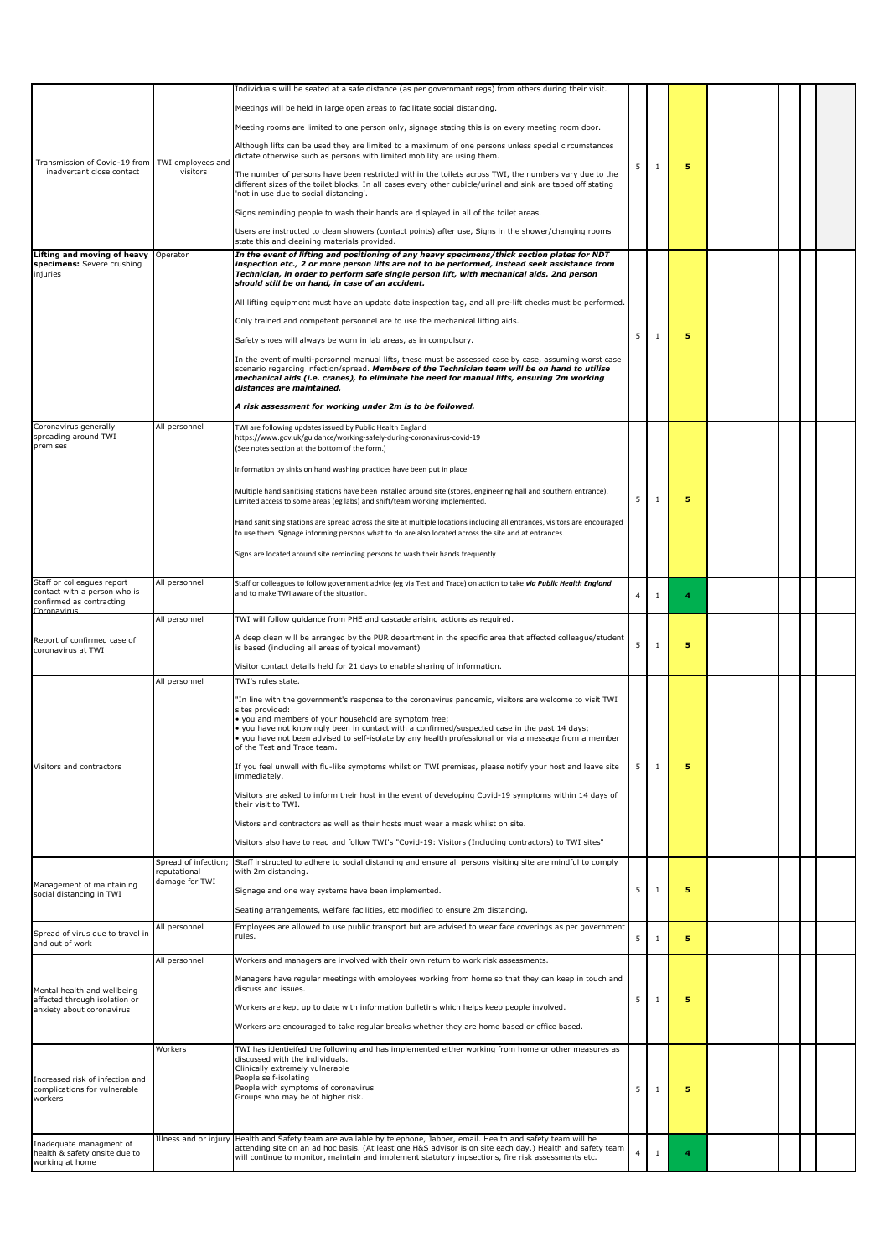|                                                                                                       |                                      | Individuals will be seated at a safe distance (as per governmant regs) from others during their visit.                                                                                                                                                                                                                                                                                                                                          |                |              |   |  |  |
|-------------------------------------------------------------------------------------------------------|--------------------------------------|-------------------------------------------------------------------------------------------------------------------------------------------------------------------------------------------------------------------------------------------------------------------------------------------------------------------------------------------------------------------------------------------------------------------------------------------------|----------------|--------------|---|--|--|
| Transmission of Covid-19 from TWI employees and<br>inadvertant close contact                          | visitors                             | Meetings will be held in large open areas to facilitate social distancing.                                                                                                                                                                                                                                                                                                                                                                      |                |              |   |  |  |
|                                                                                                       |                                      | Meeting rooms are limited to one person only, signage stating this is on every meeting room door.                                                                                                                                                                                                                                                                                                                                               |                |              |   |  |  |
|                                                                                                       |                                      | Although lifts can be used they are limited to a maximum of one persons unless special circumstances<br>dictate otherwise such as persons with limited mobility are using them.                                                                                                                                                                                                                                                                 |                |              |   |  |  |
|                                                                                                       |                                      | The number of persons have been restricted within the toilets across TWI, the numbers vary due to the<br>different sizes of the toilet blocks. In all cases every other cubicle/urinal and sink are taped off stating<br>'not in use due to social distancing'.                                                                                                                                                                                 | 5              | $\mathbf{1}$ | 5 |  |  |
|                                                                                                       |                                      | Signs reminding people to wash their hands are displayed in all of the toilet areas.                                                                                                                                                                                                                                                                                                                                                            |                |              |   |  |  |
|                                                                                                       |                                      | Users are instructed to clean showers (contact points) after use, Signs in the shower/changing rooms<br>state this and cleaining materials provided.                                                                                                                                                                                                                                                                                            |                |              |   |  |  |
| Lifting and moving of heavy<br>specimens: Severe crushing<br>injuries                                 | Operator                             | In the event of lifting and positioning of any heavy specimens/thick section plates for NDT<br>inspection etc., 2 or more person lifts are not to be performed, instead seek assistance from<br>Technician, in order to perform safe single person lift, with mechanical aids. 2nd person<br>should still be on hand, in case of an accident.                                                                                                   |                |              |   |  |  |
|                                                                                                       |                                      | All lifting equipment must have an update date inspection tag, and all pre-lift checks must be performed.                                                                                                                                                                                                                                                                                                                                       |                |              |   |  |  |
|                                                                                                       |                                      | Only trained and competent personnel are to use the mechanical lifting aids.                                                                                                                                                                                                                                                                                                                                                                    |                |              |   |  |  |
|                                                                                                       |                                      | Safety shoes will always be worn in lab areas, as in compulsory.                                                                                                                                                                                                                                                                                                                                                                                | 5              | $\mathbf{1}$ | 5 |  |  |
|                                                                                                       |                                      | In the event of multi-personnel manual lifts, these must be assessed case by case, assuming worst case<br>scenario regarding infection/spread. Members of the Technician team will be on hand to utilise<br>mechanical aids (i.e. cranes), to eliminate the need for manual lifts, ensuring 2m working<br>distances are maintained.                                                                                                             |                |              |   |  |  |
|                                                                                                       |                                      | A risk assessment for working under 2m is to be followed.                                                                                                                                                                                                                                                                                                                                                                                       |                |              |   |  |  |
| Coronavirus generally<br>spreading around TWI<br>premises                                             | All personnel                        | TWI are following updates issued by Public Health England<br>https://www.gov.uk/guidance/working-safely-during-coronavirus-covid-19<br>(See notes section at the bottom of the form.)                                                                                                                                                                                                                                                           |                |              |   |  |  |
|                                                                                                       |                                      | Information by sinks on hand washing practices have been put in place.                                                                                                                                                                                                                                                                                                                                                                          |                |              |   |  |  |
|                                                                                                       |                                      | Multiple hand sanitising stations have been installed around site (stores, engineering hall and southern entrance).<br>Limited access to some areas (eg labs) and shift/team working implemented.                                                                                                                                                                                                                                               | 5              | $\mathbf{1}$ | 5 |  |  |
|                                                                                                       |                                      | Hand sanitising stations are spread across the site at multiple locations including all entrances, visitors are encouraged<br>to use them. Signage informing persons what to do are also located across the site and at entrances.                                                                                                                                                                                                              |                |              |   |  |  |
|                                                                                                       |                                      | Signs are located around site reminding persons to wash their hands frequently.                                                                                                                                                                                                                                                                                                                                                                 |                |              |   |  |  |
| Staff or colleagues report<br>contact with a person who is<br>confirmed as contracting<br>Coronavirus | All personnel                        | Staff or colleagues to follow government advice (eg via Test and Trace) on action to take via Public Health England<br>and to make TWI aware of the situation.                                                                                                                                                                                                                                                                                  | 4              | $\mathbf{1}$ | 4 |  |  |
|                                                                                                       | All personnel                        | TWI will follow guidance from PHE and cascade arising actions as required.                                                                                                                                                                                                                                                                                                                                                                      |                |              |   |  |  |
| Report of confirmed case of<br>coronavirus at TWI                                                     |                                      | A deep clean will be arranged by the PUR department in the specific area that affected colleague/student<br>is based (including all areas of typical movement)                                                                                                                                                                                                                                                                                  | 5              | $\mathbf{1}$ | 5 |  |  |
|                                                                                                       |                                      | Visitor contact details held for 21 days to enable sharing of information.                                                                                                                                                                                                                                                                                                                                                                      |                |              |   |  |  |
|                                                                                                       | All personnel                        | TWI's rules state.<br>In line with the government's response to the coronavirus pandemic, visitors are welcome to visit TWI"<br>sites provided:<br>you and members of your household are symptom free;<br>. you have not knowingly been in contact with a confirmed/suspected case in the past 14 days;<br>. you have not been advised to self-isolate by any health professional or via a message from a member<br>of the Test and Trace team. |                |              |   |  |  |
| Visitors and contractors                                                                              |                                      | If you feel unwell with flu-like symptoms whilst on TWI premises, please notify your host and leave site<br>immediately.                                                                                                                                                                                                                                                                                                                        | 5              | 1            | 5 |  |  |
|                                                                                                       |                                      | Visitors are asked to inform their host in the event of developing Covid-19 symptoms within 14 days of<br>their visit to TWI.                                                                                                                                                                                                                                                                                                                   |                |              |   |  |  |
|                                                                                                       |                                      | Vistors and contractors as well as their hosts must wear a mask whilst on site.                                                                                                                                                                                                                                                                                                                                                                 |                |              |   |  |  |
|                                                                                                       |                                      | Visitors also have to read and follow TWI's "Covid-19: Visitors (Including contractors) to TWI sites"                                                                                                                                                                                                                                                                                                                                           |                |              |   |  |  |
|                                                                                                       | Spread of infection;<br>reputational | Staff instructed to adhere to social distancing and ensure all persons visiting site are mindful to comply<br>with 2m distancing.                                                                                                                                                                                                                                                                                                               |                |              |   |  |  |
| Management of maintaining                                                                             | damage for TWI                       |                                                                                                                                                                                                                                                                                                                                                                                                                                                 | 5              | $\mathbf{1}$ | 5 |  |  |
| social distancing in TWI                                                                              |                                      | Signage and one way systems have been implemented.                                                                                                                                                                                                                                                                                                                                                                                              |                |              |   |  |  |
|                                                                                                       |                                      | Seating arrangements, welfare facilities, etc modified to ensure 2m distancing.                                                                                                                                                                                                                                                                                                                                                                 |                |              |   |  |  |
| Spread of virus due to travel in<br>and out of work                                                   | All personnel                        | Employees are allowed to use public transport but are advised to wear face coverings as per government<br>rules.                                                                                                                                                                                                                                                                                                                                | 5              | $\mathbf{1}$ | 5 |  |  |
|                                                                                                       | All personnel                        | Workers and managers are involved with their own return to work risk assessments.                                                                                                                                                                                                                                                                                                                                                               |                |              |   |  |  |
|                                                                                                       |                                      | Managers have regular meetings with employees working from home so that they can keep in touch and<br>discuss and issues.                                                                                                                                                                                                                                                                                                                       |                |              |   |  |  |
| Mental health and wellbeing<br>affected through isolation or                                          |                                      |                                                                                                                                                                                                                                                                                                                                                                                                                                                 | 5              | $\mathbf{1}$ | 5 |  |  |
| anxiety about coronavirus                                                                             |                                      | Workers are kept up to date with information bulletins which helps keep people involved.                                                                                                                                                                                                                                                                                                                                                        |                |              |   |  |  |
|                                                                                                       |                                      | Workers are encouraged to take regular breaks whether they are home based or office based.                                                                                                                                                                                                                                                                                                                                                      |                |              |   |  |  |
| Increased risk of infection and<br>complications for vulnerable<br>workers                            | Workers                              | TWI has identieifed the following and has implemented either working from home or other measures as<br>discussed with the individuals.<br>Clinically extremely vulnerable<br>People self-isolating<br>People with symptoms of coronavirus                                                                                                                                                                                                       | 5              |              | 5 |  |  |
|                                                                                                       |                                      | Groups who may be of higher risk.                                                                                                                                                                                                                                                                                                                                                                                                               |                | 1            |   |  |  |
| Inadequate managment of                                                                               | Illness and or injury                | Health and Safety team are available by telephone, Jabber, email. Health and safety team will be                                                                                                                                                                                                                                                                                                                                                |                |              |   |  |  |
| health & safety onsite due to<br>working at home                                                      |                                      | attending site on an ad hoc basis. (At least one H&S advisor is on site each day.) Health and safety team<br>will continue to monitor, maintain and implement statutory inpsections, fire risk assessments etc.                                                                                                                                                                                                                                 | $\overline{4}$ | $\mathbf{1}$ | 4 |  |  |